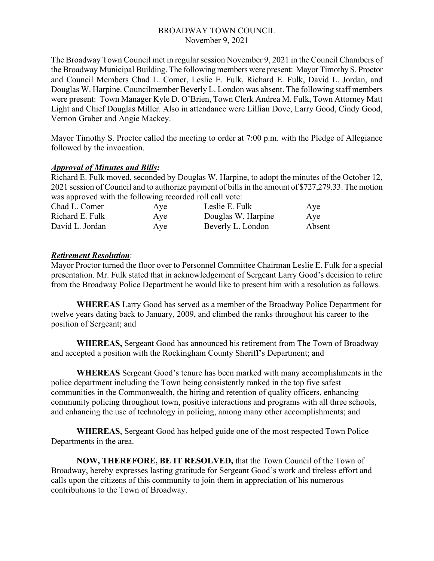The Broadway Town Council met in regular session November 9, 2021 in the Council Chambers of the Broadway Municipal Building. The following members were present: Mayor Timothy S. Proctor and Council Members Chad L. Comer, Leslie E. Fulk, Richard E. Fulk, David L. Jordan, and Douglas W. Harpine. Councilmember Beverly L. London was absent. The following staff members were present: Town Manager Kyle D. O'Brien, Town Clerk Andrea M. Fulk, Town Attorney Matt Light and Chief Douglas Miller. Also in attendance were Lillian Dove, Larry Good, Cindy Good, Vernon Graber and Angie Mackey.

Mayor Timothy S. Proctor called the meeting to order at 7:00 p.m. with the Pledge of Allegiance followed by the invocation.

#### *Approval of Minutes and Bills:*

Richard E. Fulk moved, seconded by Douglas W. Harpine, to adopt the minutes of the October 12, 2021 session of Council and to authorize payment of bills in the amount of \$727,279.33. The motion was approved with the following recorded roll call vote:

| Chad L. Comer   | Aye | Leslie E. Fulk     | Aye    |
|-----------------|-----|--------------------|--------|
| Richard E. Fulk | Aye | Douglas W. Harpine | Aye    |
| David L. Jordan | Aye | Beverly L. London  | Absent |

## *Retirement Resolution*:

Mayor Proctor turned the floor over to Personnel Committee Chairman Leslie E. Fulk for a special presentation. Mr. Fulk stated that in acknowledgement of Sergeant Larry Good's decision to retire from the Broadway Police Department he would like to present him with a resolution as follows.

**WHEREAS** Larry Good has served as a member of the Broadway Police Department for twelve years dating back to January, 2009, and climbed the ranks throughout his career to the position of Sergeant; and

**WHEREAS,** Sergeant Good has announced his retirement from The Town of Broadway and accepted a position with the Rockingham County Sheriff's Department; and

**WHEREAS** Sergeant Good's tenure has been marked with many accomplishments in the police department including the Town being consistently ranked in the top five safest communities in the Commonwealth, the hiring and retention of quality officers, enhancing community policing throughout town, positive interactions and programs with all three schools, and enhancing the use of technology in policing, among many other accomplishments; and

**WHEREAS**, Sergeant Good has helped guide one of the most respected Town Police Departments in the area.

**NOW, THEREFORE, BE IT RESOLVED,** that the Town Council of the Town of Broadway, hereby expresses lasting gratitude for Sergeant Good's work and tireless effort and calls upon the citizens of this community to join them in appreciation of his numerous contributions to the Town of Broadway.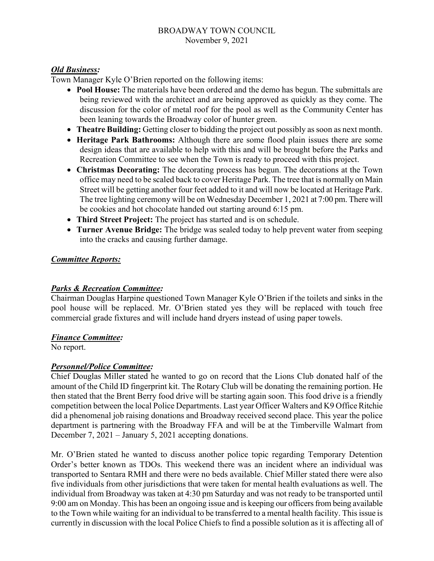#### *Old Business:*

Town Manager Kyle O'Brien reported on the following items:

- **Pool House:** The materials have been ordered and the demo has begun. The submittals are being reviewed with the architect and are being approved as quickly as they come. The discussion for the color of metal roof for the pool as well as the Community Center has been leaning towards the Broadway color of hunter green.
- **Theatre Building:** Getting closer to bidding the project out possibly as soon as next month.
- **Heritage Park Bathrooms:** Although there are some flood plain issues there are some design ideas that are available to help with this and will be brought before the Parks and Recreation Committee to see when the Town is ready to proceed with this project.
- **Christmas Decorating:** The decorating process has begun. The decorations at the Town office may need to be scaled back to cover Heritage Park. The tree that is normally on Main Street will be getting another four feet added to it and will now be located at Heritage Park. The tree lighting ceremony will be on Wednesday December 1, 2021 at 7:00 pm. There will be cookies and hot chocolate handed out starting around 6:15 pm.
- **Third Street Project:** The project has started and is on schedule.
- **Turner Avenue Bridge:** The bridge was sealed today to help prevent water from seeping into the cracks and causing further damage.

# *Committee Reports:*

# *Parks & Recreation Committee:*

Chairman Douglas Harpine questioned Town Manager Kyle O'Brien if the toilets and sinks in the pool house will be replaced. Mr. O'Brien stated yes they will be replaced with touch free commercial grade fixtures and will include hand dryers instead of using paper towels.

# *Finance Committee:*

No report.

# *Personnel/Police Committee:*

Chief Douglas Miller stated he wanted to go on record that the Lions Club donated half of the amount of the Child ID fingerprint kit. The Rotary Club will be donating the remaining portion. He then stated that the Brent Berry food drive will be starting again soon. This food drive is a friendly competition between the local Police Departments. Last year Officer Walters and K9 Office Ritchie did a phenomenal job raising donations and Broadway received second place. This year the police department is partnering with the Broadway FFA and will be at the Timberville Walmart from December 7, 2021 – January 5, 2021 accepting donations.

Mr. O'Brien stated he wanted to discuss another police topic regarding Temporary Detention Order's better known as TDOs. This weekend there was an incident where an individual was transported to Sentara RMH and there were no beds available. Chief Miller stated there were also five individuals from other jurisdictions that were taken for mental health evaluations as well. The individual from Broadway was taken at 4:30 pm Saturday and was not ready to be transported until 9:00 am on Monday. This has been an ongoing issue and is keeping our officers from being available to the Town while waiting for an individual to be transferred to a mental health facility. This issue is currently in discussion with the local Police Chiefs to find a possible solution as it is affecting all of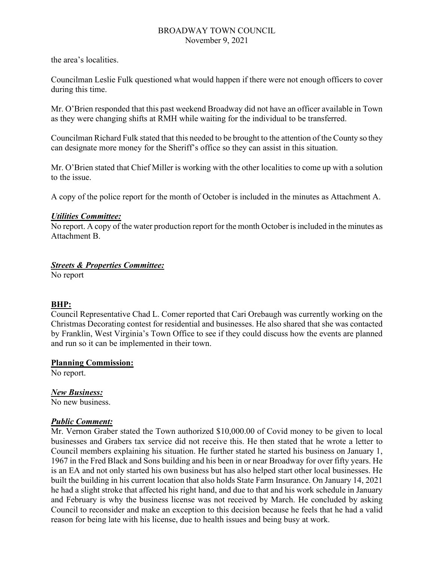the area's localities.

Councilman Leslie Fulk questioned what would happen if there were not enough officers to cover during this time.

Mr. O'Brien responded that this past weekend Broadway did not have an officer available in Town as they were changing shifts at RMH while waiting for the individual to be transferred.

Councilman Richard Fulk stated that this needed to be brought to the attention of the County so they can designate more money for the Sheriff's office so they can assist in this situation.

Mr. O'Brien stated that Chief Miller is working with the other localities to come up with a solution to the issue.

A copy of the police report for the month of October is included in the minutes as Attachment A.

# *Utilities Committee:*

No report. A copy of the water production report for the month October is included in the minutes as Attachment B.

# *Streets & Properties Committee:*

No report

# **BHP:**

Council Representative Chad L. Comer reported that Cari Orebaugh was currently working on the Christmas Decorating contest for residential and businesses. He also shared that she was contacted by Franklin, West Virginia's Town Office to see if they could discuss how the events are planned and run so it can be implemented in their town.

#### **Planning Commission:**

No report.

# *New Business:*

No new business.

## *Public Comment:*

Mr. Vernon Graber stated the Town authorized \$10,000.00 of Covid money to be given to local businesses and Grabers tax service did not receive this. He then stated that he wrote a letter to Council members explaining his situation. He further stated he started his business on January 1, 1967 in the Fred Black and Sons building and his been in or near Broadway for over fifty years. He is an EA and not only started his own business but has also helped start other local businesses. He built the building in his current location that also holds State Farm Insurance. On January 14, 2021 he had a slight stroke that affected his right hand, and due to that and his work schedule in January and February is why the business license was not received by March. He concluded by asking Council to reconsider and make an exception to this decision because he feels that he had a valid reason for being late with his license, due to health issues and being busy at work.